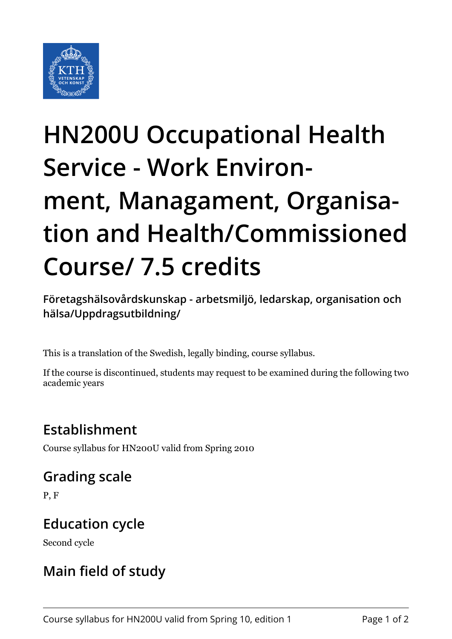

# **HN200U Occupational Health Service - Work Environment, Managament, Organisation and Health/Commissioned Course/ 7.5 credits**

**Företagshälsovårdskunskap - arbetsmiljö, ledarskap, organisation och hälsa/Uppdragsutbildning/**

This is a translation of the Swedish, legally binding, course syllabus.

If the course is discontinued, students may request to be examined during the following two academic years

# **Establishment**

Course syllabus for HN200U valid from Spring 2010

### **Grading scale**

P, F

#### **Education cycle**

Second cycle

# **Main field of study**